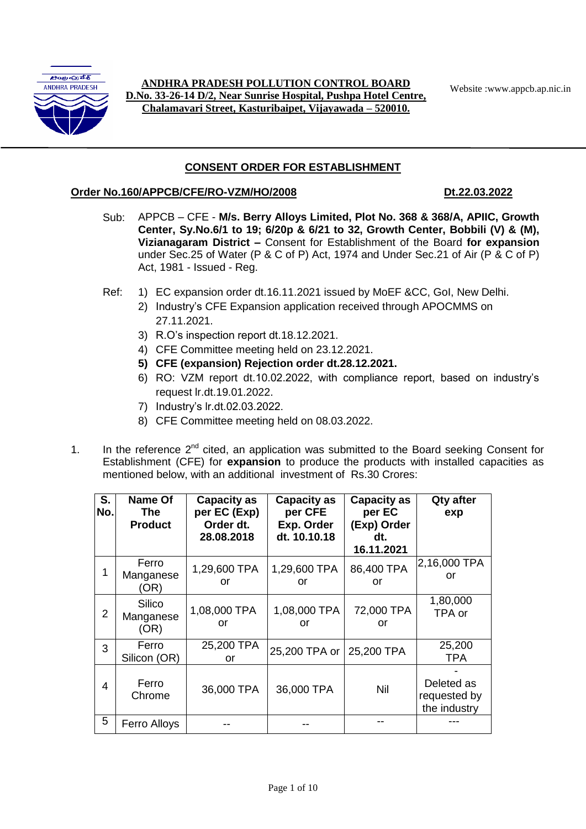

Website :www.appcb.ap.nic.in **ANDHRA PRADESH POLLUTION CONTROL BOARD D.No. 33-26-14 D/2, Near Sunrise Hospital, Pushpa Hotel Centre, Chalamavari Street, Kasturibaipet, Vijayawada – 520010.**

# **CONSENT ORDER FOR ESTABLISHMENT**

### **Order No.160/APPCB/CFE/RO-VZM/HO/2008 Dt.22.03.2022**

- Sub: APPCB CFE **M/s. Berry Alloys Limited, Plot No. 368 & 368/A, APIIC, Growth Center, Sy.No.6/1 to 19; 6/20p & 6/21 to 32, Growth Center, Bobbili (V) & (M), Vizianagaram District –** Consent for Establishment of the Board **for expansion** under Sec.25 of Water (P & C of P) Act, 1974 and Under Sec.21 of Air (P & C of P) Act, 1981 - Issued - Reg.
- Ref: 1) EC expansion order dt.16.11.2021 issued by MoEF &CC, GoI, New Delhi.
	- 2) Industry's CFE Expansion application received through APOCMMS on 27.11.2021.
	- 3) R.O's inspection report dt.18.12.2021.
	- 4) CFE Committee meeting held on 23.12.2021.
	- **5) CFE (expansion) Rejection order dt.28.12.2021.**
	- 6) RO: VZM report dt.10.02.2022, with compliance report, based on industry's request lr.dt.19.01.2022.
	- 7) Industry's lr.dt.02.03.2022.
	- 8) CFE Committee meeting held on 08.03.2022.
- 1. In the reference  $2<sup>nd</sup>$  cited, an application was submitted to the Board seeking Consent for Establishment (CFE) for **expansion** to produce the products with installed capacities as mentioned below, with an additional investment of Rs.30 Crores:

| S.<br>No.      | Name Of<br><b>The</b><br><b>Product</b> | <b>Capacity as</b><br>per EC (Exp)<br>Order dt.<br>28.08.2018 | <b>Capacity as</b><br>per CFE<br>Exp. Order<br>dt. 10.10.18 | <b>Capacity as</b><br>per EC<br>(Exp) Order<br>dt.<br>16.11.2021 | <b>Qty after</b><br>exp                    |
|----------------|-----------------------------------------|---------------------------------------------------------------|-------------------------------------------------------------|------------------------------------------------------------------|--------------------------------------------|
|                | Ferro<br>Manganese<br>(OR)              | 1,29,600 TPA<br>or                                            | 1,29,600 TPA<br>or                                          | 86,400 TPA<br>or                                                 | 2,16,000 TPA<br>or                         |
| $\overline{2}$ | Silico<br>Manganese<br>(OR)             | 1,08,000 TPA<br>or                                            | 1,08,000 TPA<br>or                                          | 72,000 TPA<br>or                                                 | 1,80,000<br>TPA or                         |
| 3              | Ferro<br>Silicon (OR)                   | 25,200 TPA<br>or                                              | 25,200 TPA or                                               | 25,200 TPA                                                       | 25,200<br><b>TPA</b>                       |
| 4              | Ferro<br>Chrome                         | 36,000 TPA                                                    | 36,000 TPA                                                  | Nil                                                              | Deleted as<br>requested by<br>the industry |
| 5              | Ferro Alloys                            |                                                               |                                                             |                                                                  |                                            |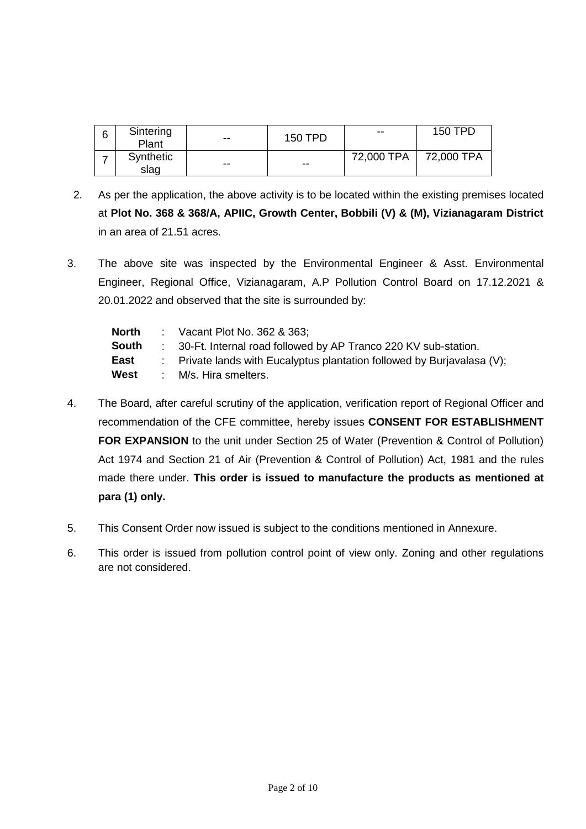| 6 | Sintering<br>Plant | $- -$ | 150 TPD | $\overline{\phantom{m}}$ | 150 TPD    |
|---|--------------------|-------|---------|--------------------------|------------|
|   | Synthetic<br>slag  | $- -$ | $- -$   | 72,000 TPA               | 72,000 TPA |

- 2. As per the application, the above activity is to be located within the existing premises located at **Plot No. 368 & 368/A, APIIC, Growth Center, Bobbili (V) & (M), Vizianagaram District**  in an area of 21.51 acres.
- 3. The above site was inspected by the Environmental Engineer & Asst. Environmental Engineer, Regional Office, Vizianagaram, A.P Pollution Control Board on 17.12.2021 & 20.01.2022 and observed that the site is surrounded by:

| <b>North</b> | : Vacant Plot No. $362$ & $363$ :                                                  |
|--------------|------------------------------------------------------------------------------------|
| <b>South</b> | : 30-Ft. Internal road followed by AP Tranco 220 KV sub-station.                   |
| East         | $\therefore$ Private lands with Eucalyptus plantation followed by Burjavalasa (V); |
| West         | : M/s. Hira smelters.                                                              |

- 4. The Board, after careful scrutiny of the application, verification report of Regional Officer and recommendation of the CFE committee, hereby issues **CONSENT FOR ESTABLISHMENT FOR EXPANSION** to the unit under Section 25 of Water (Prevention & Control of Pollution) Act 1974 and Section 21 of Air (Prevention & Control of Pollution) Act, 1981 and the rules made there under. **This order is issued to manufacture the products as mentioned at para (1) only.**
- 5. This Consent Order now issued is subject to the conditions mentioned in Annexure.
- 6. This order is issued from pollution control point of view only. Zoning and other regulations are not considered.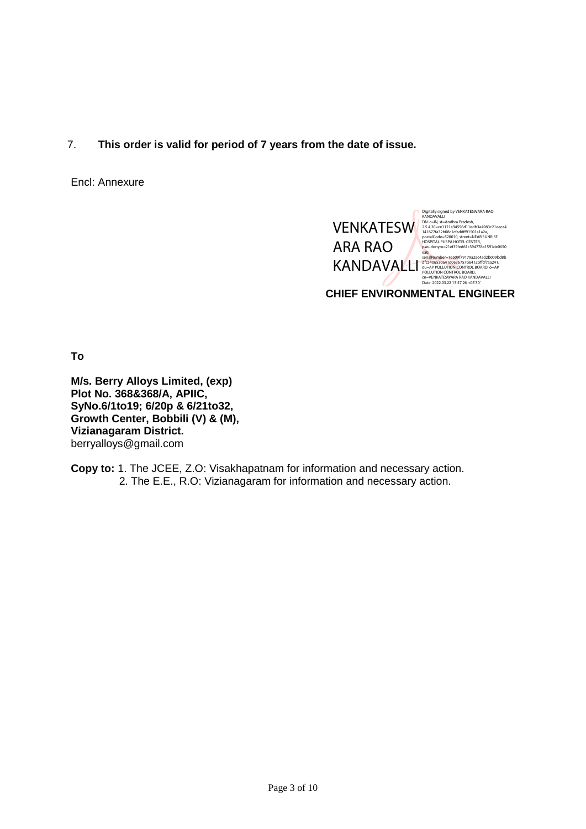7. **This order is valid for period of 7 years from the date of issue.**

Encl: Annexure



**To**

**M/s. Berry Alloys Limited, (exp) Plot No. 368&368/A, APIIC, SyNo.6/1to19; 6/20p & 6/21to32, Growth Center, Bobbili (V) & (M), Vizianagaram District.** berryalloys@gmail.com

**Copy to:** 1. The JCEE, Z.O: Visakhapatnam for information and necessary action. 2. The E.E., R.O: Vizianagaram for information and necessary action.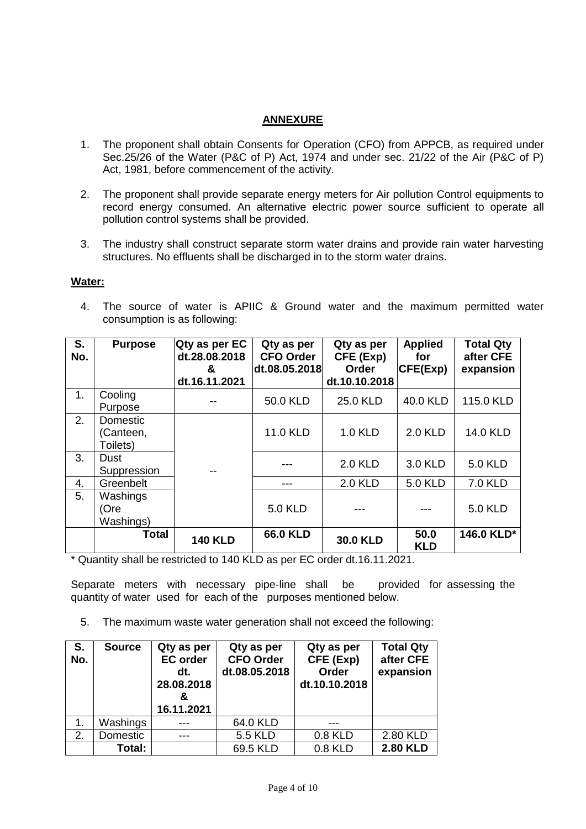## **ANNEXURE**

- 1. The proponent shall obtain Consents for Operation (CFO) from APPCB, as required under Sec.25/26 of the Water (P&C of P) Act, 1974 and under sec. 21/22 of the Air (P&C of P) Act, 1981, before commencement of the activity.
- 2. The proponent shall provide separate energy meters for Air pollution Control equipments to record energy consumed. An alternative electric power source sufficient to operate all pollution control systems shall be provided.
- 3. The industry shall construct separate storm water drains and provide rain water harvesting structures. No effluents shall be discharged in to the storm water drains.

### **Water:**

4. The source of water is APIIC & Ground water and the maximum permitted water consumption is as following:

| S.<br>No. | <b>Purpose</b>                    | Qty as per EC<br>dt.28.08.2018<br>&<br>dt.16.11.2021 | Qty as per<br><b>CFO Order</b><br>dt.08.05.2018 | Qty as per<br>CFE (Exp)<br>Order<br>dt.10.10.2018 | <b>Applied</b><br>for<br>CFE(Exp) | <b>Total Qty</b><br>after CFE<br>expansion |
|-----------|-----------------------------------|------------------------------------------------------|-------------------------------------------------|---------------------------------------------------|-----------------------------------|--------------------------------------------|
| 1.        | Cooling<br>Purpose                |                                                      | 50.0 KLD                                        | 25.0 KLD                                          | 40.0 KLD                          | 115.0 KLD                                  |
| 2.        | Domestic<br>(Canteen,<br>Toilets) |                                                      | 11.0 KLD                                        | 1.0 KLD                                           | <b>2.0 KLD</b>                    | <b>14.0 KLD</b>                            |
| 3.        | Dust<br>Suppression               |                                                      |                                                 | <b>2.0 KLD</b>                                    | 3.0 KLD                           | 5.0 KLD                                    |
| 4.        | Greenbelt                         |                                                      | ---                                             | <b>2.0 KLD</b>                                    | <b>5.0 KLD</b>                    | 7.0 KLD                                    |
| 5.        | Washings<br>(Ore<br>Washings)     |                                                      | <b>5.0 KLD</b>                                  |                                                   |                                   | <b>5.0 KLD</b>                             |
|           | <b>Total</b>                      | <b>140 KLD</b>                                       | <b>66.0 KLD</b>                                 | <b>30.0 KLD</b>                                   | 50.0<br><b>KLD</b>                | 146.0 KLD*                                 |

\* Quantity shall be restricted to 140 KLD as per EC order dt.16.11.2021.

Separate meters with necessary pipe-line shall be provided for assessing the quantity of water used for each of the purposes mentioned below.

5. The maximum waste water generation shall not exceed the following:

| S.<br>No. | <b>Source</b> | Qty as per<br><b>EC</b> order<br>dt.<br>28.08.2018<br>16.11.2021 | Qty as per<br><b>CFO Order</b><br>dt.08.05.2018 | Qty as per<br>CFE (Exp)<br>Order<br>dt.10.10.2018 | <b>Total Qty</b><br>after CFE<br>expansion |
|-----------|---------------|------------------------------------------------------------------|-------------------------------------------------|---------------------------------------------------|--------------------------------------------|
|           | Washings      |                                                                  | 64.0 KLD                                        |                                                   |                                            |
| 2.        | Domestic      |                                                                  | <b>5.5 KLD</b>                                  | 0.8 KLD                                           | 2.80 KLD                                   |
|           | Total:        |                                                                  | 69.5 KLD                                        | 0.8 KLD                                           | <b>2.80 KLD</b>                            |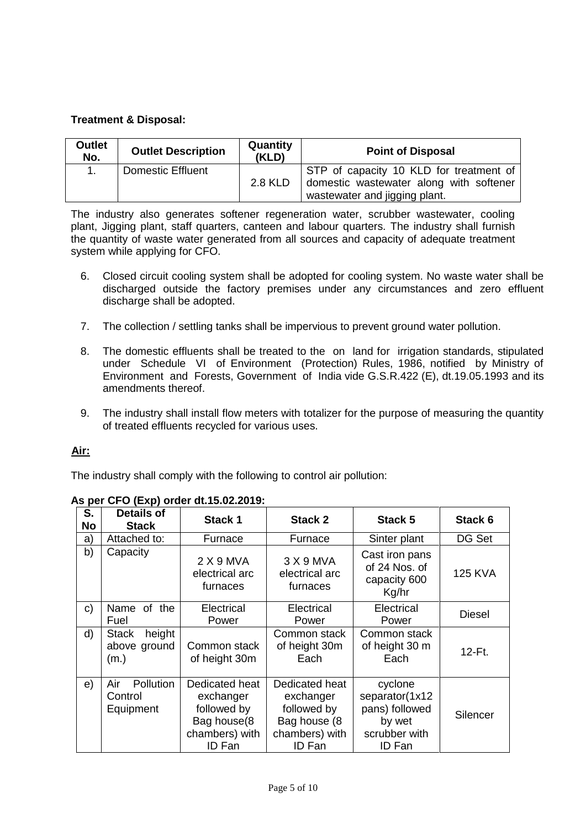# **Treatment & Disposal:**

| <b>Outlet</b><br>No. | <b>Outlet Description</b> | Quantity<br>(KLD) | <b>Point of Disposal</b>                                                                                            |
|----------------------|---------------------------|-------------------|---------------------------------------------------------------------------------------------------------------------|
|                      | <b>Domestic Effluent</b>  | 2.8 KLD           | STP of capacity 10 KLD for treatment of<br>domestic wastewater along with softener<br>wastewater and jigging plant. |

The industry also generates softener regeneration water, scrubber wastewater, cooling plant, Jigging plant, staff quarters, canteen and labour quarters. The industry shall furnish the quantity of waste water generated from all sources and capacity of adequate treatment system while applying for CFO.

- 6. Closed circuit cooling system shall be adopted for cooling system. No waste water shall be discharged outside the factory premises under any circumstances and zero effluent discharge shall be adopted.
- 7. The collection / settling tanks shall be impervious to prevent ground water pollution.
- 8. The domestic effluents shall be treated to the on land for irrigation standards, stipulated under Schedule VI of Environment (Protection) Rules, 1986, notified by Ministry of Environment and Forests, Government of India vide G.S.R.422 (E), dt.19.05.1993 and its amendments thereof.
- 9. The industry shall install flow meters with totalizer for the purpose of measuring the quantity of treated effluents recycled for various uses.

## **Air:**

The industry shall comply with the following to control air pollution:

|                 | 13 pc or or (EAP) order durio.02.2013.         |                                                                                       |                                                                                         |                                                                                  |                |  |  |
|-----------------|------------------------------------------------|---------------------------------------------------------------------------------------|-----------------------------------------------------------------------------------------|----------------------------------------------------------------------------------|----------------|--|--|
| S.<br><b>No</b> | <b>Details of</b><br><b>Stack</b>              | <b>Stack 1</b>                                                                        | Stack 2                                                                                 | Stack 5                                                                          | Stack 6        |  |  |
| a)              | Attached to:                                   | Furnace                                                                               | Furnace                                                                                 | Sinter plant                                                                     | DG Set         |  |  |
| b)              | Capacity                                       | 2 X 9 MVA<br>electrical arc<br>furnaces                                               | 3 X 9 MVA<br>electrical arc<br>furnaces                                                 | Cast iron pans<br>of 24 Nos. of<br>capacity 600<br>Kg/hr                         | <b>125 KVA</b> |  |  |
| C)              | Name of the<br>Fuel                            | Electrical<br>Power                                                                   | Electrical<br>Power                                                                     | Electrical<br>Power                                                              | <b>Diesel</b>  |  |  |
| d)              | height<br><b>Stack</b><br>above ground<br>(m.) | Common stack<br>of height 30m                                                         | Common stack<br>of height 30m<br>Each                                                   | Common stack<br>of height 30 m<br>Each                                           | 12-Ft.         |  |  |
| e)              | Pollution<br>Air<br>Control<br>Equipment       | Dedicated heat<br>exchanger<br>followed by<br>Bag house(8<br>chambers) with<br>ID Fan | Dedicated heat<br>exchanger<br>followed by<br>Bag house (8)<br>chambers) with<br>ID Fan | cyclone<br>separator(1x12<br>pans) followed<br>by wet<br>scrubber with<br>ID Fan | Silencer       |  |  |

# **As per CFO (Exp) order dt.15.02.2019:**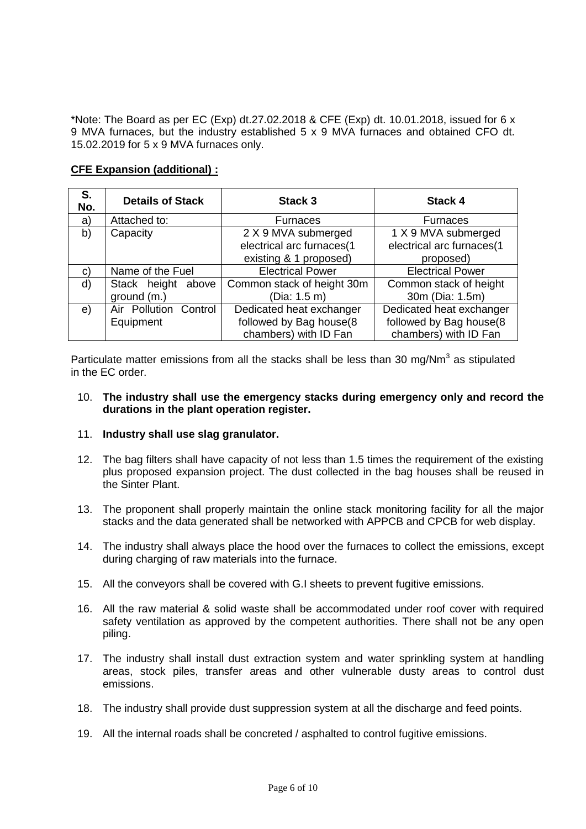\*Note: The Board as per EC (Exp) dt.27.02.2018 & CFE (Exp) dt. 10.01.2018, issued for 6 x 9 MVA furnaces, but the industry established 5 x 9 MVA furnaces and obtained CFO dt. 15.02.2019 for 5 x 9 MVA furnaces only.

## **CFE Expansion (additional) :**

| S.<br>No. | <b>Details of Stack</b> | Stack 3                    | <b>Stack 4</b>            |
|-----------|-------------------------|----------------------------|---------------------------|
| a)        | Attached to:            | Furnaces                   | <b>Furnaces</b>           |
| b)        | Capacity                | 2 X 9 MVA submerged        | 1 X 9 MVA submerged       |
|           |                         | electrical arc furnaces(1  | electrical arc furnaces(1 |
|           |                         | existing & 1 proposed)     | proposed)                 |
| C)        | Name of the Fuel        | <b>Electrical Power</b>    | <b>Electrical Power</b>   |
| d)        | Stack height<br>above   | Common stack of height 30m | Common stack of height    |
|           | ground (m.)             | (Dia: 1.5 m)               | 30m (Dia: 1.5m)           |
| e)        | Air Pollution Control   | Dedicated heat exchanger   | Dedicated heat exchanger  |
|           | Equipment               | followed by Bag house(8    | followed by Bag house(8   |
|           |                         | chambers) with ID Fan      | chambers) with ID Fan     |

Particulate matter emissions from all the stacks shall be less than 30 mg/Nm $^3$  as stipulated in the EC order.

### 10. **The industry shall use the emergency stacks during emergency only and record the durations in the plant operation register.**

### 11. **Industry shall use slag granulator.**

- 12. The bag filters shall have capacity of not less than 1.5 times the requirement of the existing plus proposed expansion project. The dust collected in the bag houses shall be reused in the Sinter Plant.
- 13. The proponent shall properly maintain the online stack monitoring facility for all the major stacks and the data generated shall be networked with APPCB and CPCB for web display.
- 14. The industry shall always place the hood over the furnaces to collect the emissions, except during charging of raw materials into the furnace.
- 15. All the conveyors shall be covered with G.I sheets to prevent fugitive emissions.
- 16. All the raw material & solid waste shall be accommodated under roof cover with required safety ventilation as approved by the competent authorities. There shall not be any open piling.
- 17. The industry shall install dust extraction system and water sprinkling system at handling areas, stock piles, transfer areas and other vulnerable dusty areas to control dust emissions.
- 18. The industry shall provide dust suppression system at all the discharge and feed points.
- 19. All the internal roads shall be concreted / asphalted to control fugitive emissions.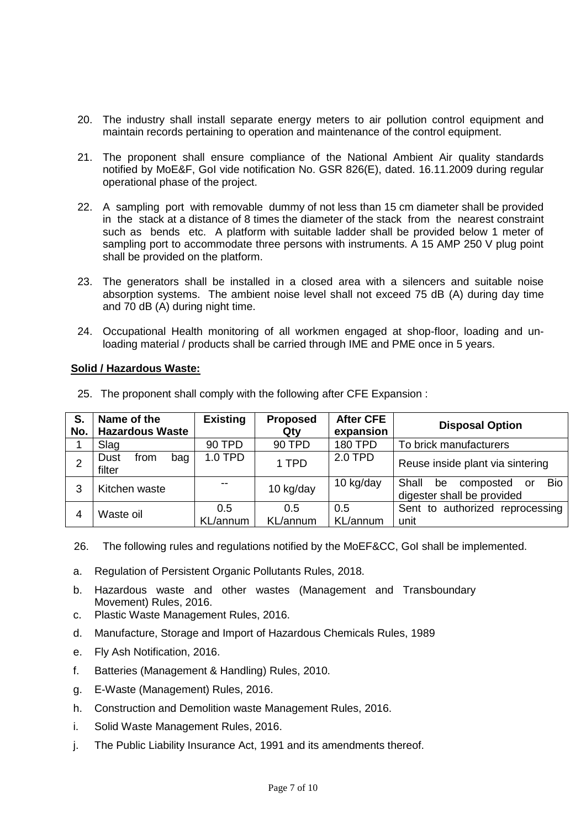- 20. The industry shall install separate energy meters to air pollution control equipment and maintain records pertaining to operation and maintenance of the control equipment.
- 21. The proponent shall ensure compliance of the National Ambient Air quality standards notified by MoE&F, GoI vide notification No. GSR 826(E), dated. 16.11.2009 during regular operational phase of the project.
- 22. A sampling port with removable dummy of not less than 15 cm diameter shall be provided in the stack at a distance of 8 times the diameter of the stack from the nearest constraint such as bends etc. A platform with suitable ladder shall be provided below 1 meter of sampling port to accommodate three persons with instruments. A 15 AMP 250 V plug point shall be provided on the platform.
- 23. The generators shall be installed in a closed area with a silencers and suitable noise absorption systems. The ambient noise level shall not exceed 75 dB (A) during day time and 70 dB (A) during night time.
- 24. Occupational Health monitoring of all workmen engaged at shop-floor, loading and unloading material / products shall be carried through IME and PME once in 5 years.

### **Solid / Hazardous Waste:**

| S.<br>No. | Name of the<br><b>Hazardous Waste</b> | <b>Existing</b> | <b>Proposed</b><br>Qty | <b>After CFE</b><br>expansion | <b>Disposal Option</b>                                                     |
|-----------|---------------------------------------|-----------------|------------------------|-------------------------------|----------------------------------------------------------------------------|
|           | Slag                                  | 90 TPD          | 90 TPD                 | <b>180 TPD</b>                | To brick manufacturers                                                     |
| 2         | Dust<br>from<br>bag<br>filter         | 1.0 TPD         | 1 TPD                  | 2.0 TPD                       | Reuse inside plant via sintering                                           |
| 3         | Kitchen waste                         | --              | 10 kg/day              | 10 kg/day                     | <b>Bio</b><br>Shall<br>be<br>composted<br>or<br>digester shall be provided |
| 4         | Waste oil                             | 0.5<br>KL/annum | 0.5<br>KL/annum        | 0.5<br>KL/annum               | Sent to authorized reprocessing<br>unit                                    |

25. The proponent shall comply with the following after CFE Expansion :

- 26. The following rules and regulations notified by the MoEF&CC, GoI shall be implemented.
- a. Regulation of Persistent Organic Pollutants Rules, 2018.
- b. Hazardous waste and other wastes (Management and Transboundary Movement) Rules, 2016.
- c. Plastic Waste Management Rules, 2016.
- d. Manufacture, Storage and Import of Hazardous Chemicals Rules, 1989
- e. Fly Ash Notification, 2016.
- f. Batteries (Management & Handling) Rules, 2010.
- g. E-Waste (Management) Rules, 2016.
- h. Construction and Demolition waste Management Rules, 2016.
- i. Solid Waste Management Rules, 2016.
- j. The Public Liability Insurance Act, 1991 and its amendments thereof.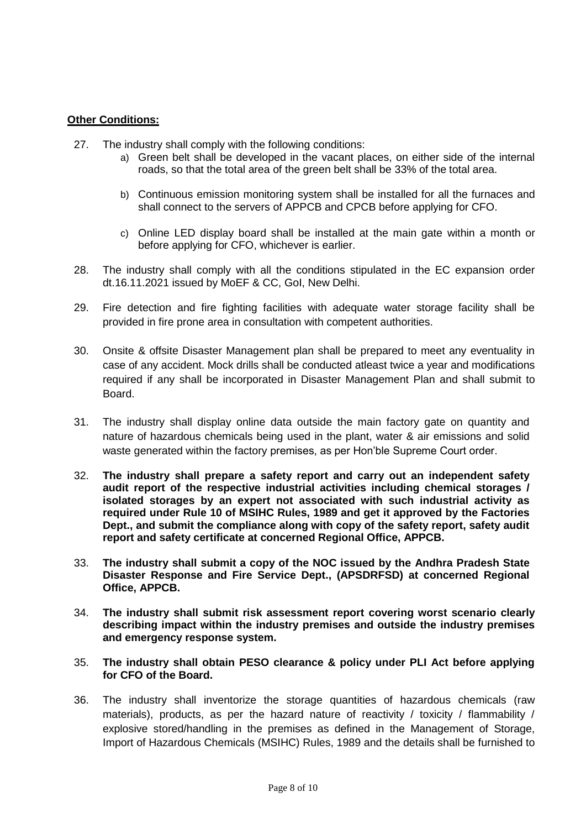## **Other Conditions:**

- 27. The industry shall comply with the following conditions:
	- a) Green belt shall be developed in the vacant places, on either side of the internal roads, so that the total area of the green belt shall be 33% of the total area.
	- b) Continuous emission monitoring system shall be installed for all the furnaces and shall connect to the servers of APPCB and CPCB before applying for CFO.
	- c) Online LED display board shall be installed at the main gate within a month or before applying for CFO, whichever is earlier.
- 28. The industry shall comply with all the conditions stipulated in the EC expansion order dt.16.11.2021 issued by MoEF & CC, GoI, New Delhi.
- 29. Fire detection and fire fighting facilities with adequate water storage facility shall be provided in fire prone area in consultation with competent authorities.
- 30. Onsite & offsite Disaster Management plan shall be prepared to meet any eventuality in case of any accident. Mock drills shall be conducted atleast twice a year and modifications required if any shall be incorporated in Disaster Management Plan and shall submit to **Board**
- 31. The industry shall display online data outside the main factory gate on quantity and nature of hazardous chemicals being used in the plant, water & air emissions and solid waste generated within the factory premises, as per Hon'ble Supreme Court order.
- 32. **The industry shall prepare a safety report and carry out an independent safety audit report of the respective industrial activities including chemical storages / isolated storages by an expert not associated with such industrial activity as required under Rule 10 of MSIHC Rules, 1989 and get it approved by the Factories Dept., and submit the compliance along with copy of the safety report, safety audit report and safety certificate at concerned Regional Office, APPCB.**
- 33. **The industry shall submit a copy of the NOC issued by the Andhra Pradesh State Disaster Response and Fire Service Dept., (APSDRFSD) at concerned Regional Office, APPCB.**
- 34. **The industry shall submit risk assessment report covering worst scenario clearly describing impact within the industry premises and outside the industry premises and emergency response system.**
- 35. **The industry shall obtain PESO clearance & policy under PLI Act before applying for CFO of the Board.**
- 36. The industry shall inventorize the storage quantities of hazardous chemicals (raw materials), products, as per the hazard nature of reactivity / toxicity / flammability / explosive stored/handling in the premises as defined in the Management of Storage, Import of Hazardous Chemicals (MSIHC) Rules, 1989 and the details shall be furnished to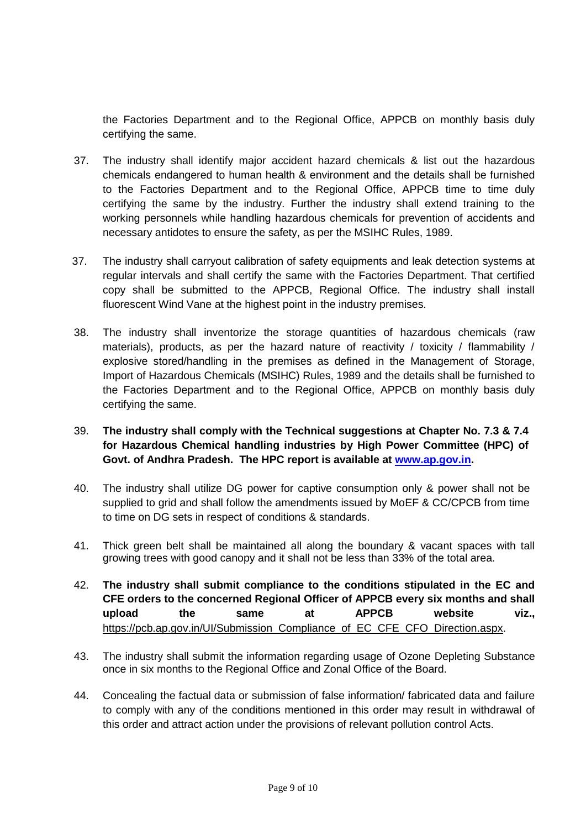the Factories Department and to the Regional Office, APPCB on monthly basis duly certifying the same.

- 37. The industry shall identify major accident hazard chemicals & list out the hazardous chemicals endangered to human health & environment and the details shall be furnished to the Factories Department and to the Regional Office, APPCB time to time duly certifying the same by the industry. Further the industry shall extend training to the working personnels while handling hazardous chemicals for prevention of accidents and necessary antidotes to ensure the safety, as per the MSIHC Rules, 1989.
- 37. The industry shall carryout calibration of safety equipments and leak detection systems at regular intervals and shall certify the same with the Factories Department. That certified copy shall be submitted to the APPCB, Regional Office. The industry shall install fluorescent Wind Vane at the highest point in the industry premises.
- 38. The industry shall inventorize the storage quantities of hazardous chemicals (raw materials), products, as per the hazard nature of reactivity / toxicity / flammability / explosive stored/handling in the premises as defined in the Management of Storage, Import of Hazardous Chemicals (MSIHC) Rules, 1989 and the details shall be furnished to the Factories Department and to the Regional Office, APPCB on monthly basis duly certifying the same.
- 39. **The industry shall comply with the Technical suggestions at Chapter No. 7.3 & 7.4 for Hazardous Chemical handling industries by High Power Committee (HPC) of Govt. of Andhra Pradesh. The HPC report is available at [www.ap.gov.in.](http://www.ap.gov.in/)**
- 40. The industry shall utilize DG power for captive consumption only & power shall not be supplied to grid and shall follow the amendments issued by MoEF & CC/CPCB from time to time on DG sets in respect of conditions & standards.
- 41. Thick green belt shall be maintained all along the boundary & vacant spaces with tall growing trees with good canopy and it shall not be less than 33% of the total area.
- 42. **The industry shall submit compliance to the conditions stipulated in the EC and CFE orders to the concerned Regional Officer of APPCB every six months and shall upload the same at APPCB website viz.,**  [https://pcb.ap.gov.in/UI/Submission\\_Compliance\\_of\\_EC\\_CFE\\_CFO\\_Direction.aspx.](https://pcb.ap.gov.in/UI/Submission_Compliance_of_EC_CFE_CFO_Direction.aspx)
- 43. The industry shall submit the information regarding usage of Ozone Depleting Substance once in six months to the Regional Office and Zonal Office of the Board.
- 44. Concealing the factual data or submission of false information/ fabricated data and failure to comply with any of the conditions mentioned in this order may result in withdrawal of this order and attract action under the provisions of relevant pollution control Acts.